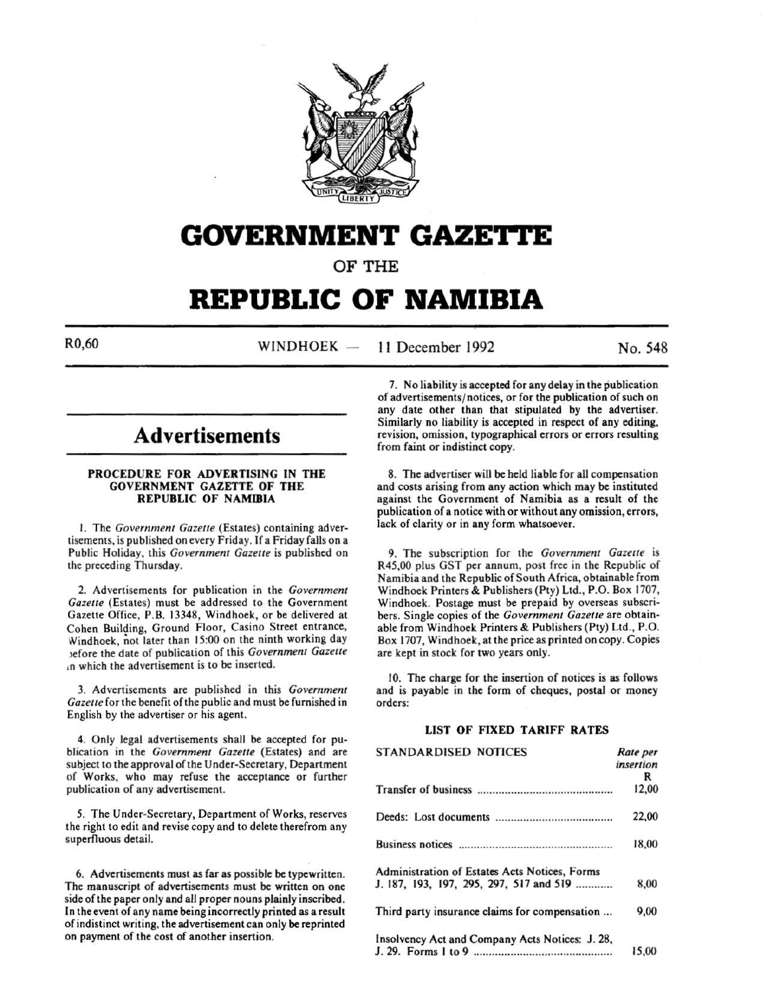

# **GOVERNMENT GAZETTE**

### OF THE

## **REPUBLIC OF NAMIBIA**

R0,60 WINDHOEK -11 December 1992 No. 548

### **Advertisements**

#### PROCEDURE FOR ADVERTISING IN THE GOVERNMENT GAZETTE OF THE REPUBLIC OF NAMIBIA

I. The *Government Gazette* (Estates) containing advertisements, is published on every Friday. If a Friday falls on a Public Holiday, this *Government Gazette* is published on the preceding Thursday.

2. Advertisements for publication in the *Government Gazette* (Estates) must be addressed to the Government Gazette Office, P.B. 13348, Windhoek, or be delivered at Cohen Building, Ground Floor, Casino Street entrance, Windhoek, not later than 15:00 on the ninth working day >efore the date of publication of this *Government Gazette*  10 which the advertisement is to be inserted.

3. Advertisements are published in this *Government Gazette* for the benefit of the public and must be furnished in English by the advertiser or his agent.

4. Only legal advertisements shall be accepted for publication in the *Government Gazette* (Estates) and are subject to the approval of the Under-Secretary, Department of Works, who may refuse the acceptance or further publication of any advertisement.

*5.* The Under-Secretary, Department of Works, reserves the right to edit and revise copy and to delete therefrom any superfluous detail.

6. Advertisements must as far as possible be typewritten. The manuscript of advertisements must be written on one side of the paper only and all proper nouns plainly inscribed. In the event of any name being incorrectly printed as a result of indistinct writing, the advertisement can only be reprinted on payment of the cost of another insertion.

7. No liability is accepted for any delay in the publication of advertisements/ notices, or for the publication of such on any date other than that stipulated by the advertiser. Similarly no liability is accepted in respect of any editing, revision, omission, typographical errors or errors resulting from faint or indistinct copy.

8. The advertiser will be held liable for all compensation and costs arising from any action which may be instituted against the Government of Namibia as a result of the publication of a notice with or without any omission, errors, lack of clarity or in any form whatsoever.

9. The subscription for the *Government Gazette* is R45,00 plus GST per annum, post free in the Republic of Namibia and the Republic of South Africa, obtainable from Windhoek Printers & Publishers (Pty) Ltd., P.O. Box 1707, Windhoek. Postage must be prepaid by overseas subscribers. Single copies of the *Government Gazette* are obtainable from Windhoek Printers & Publishers (Pty) Ltd., P.O. Box. 1707, Windhoek, at the price as printed on copy. Copies are kept in stock for two years only.

10. The charge for the insertion of notices is as follows and is payable in the form of cheques, postal or money orders:

#### LIST OF FIXED TARIFF RATES

| <b>STANDARDISED NOTICES</b>                     | Rate per  |
|-------------------------------------------------|-----------|
|                                                 | insertion |
|                                                 | R         |
|                                                 | 12,00     |
|                                                 | 22,00     |
|                                                 | 18,00     |
| Administration of Estates Acts Notices, Forms   |           |
| J. 187, 193, 197, 295, 297, 517 and 519         | 8,00      |
| Third party insurance claims for compensation   | 9,00      |
| Insolvency Act and Company Acts Notices: J. 28, |           |
|                                                 | 15.00     |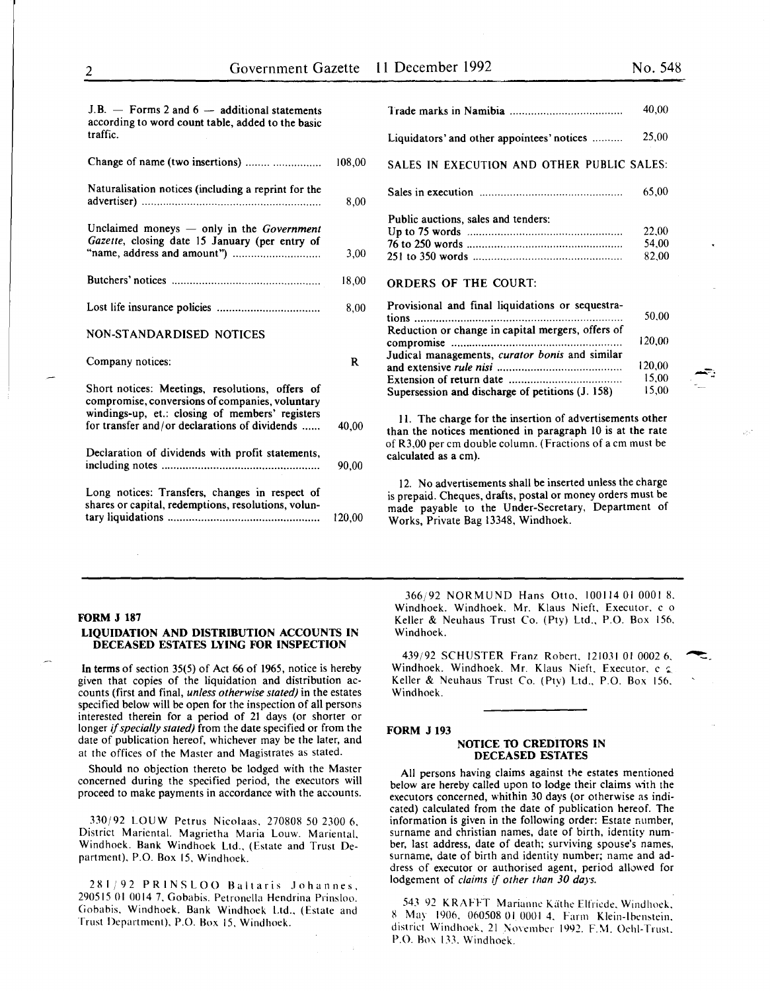15,00

| $J.B.$ $\rightarrow$ Forms 2 and 6 $\rightarrow$ additional statements<br>according to word count table, added to the basic<br>traffic.                                                                |        |
|--------------------------------------------------------------------------------------------------------------------------------------------------------------------------------------------------------|--------|
| Change of name (two insertions)                                                                                                                                                                        | 108,00 |
| Naturalisation notices (including a reprint for the                                                                                                                                                    | 8,00   |
| Unclaimed moneys - only in the Government<br>Gazette, closing date 15 January (per entry of                                                                                                            | 3,00   |
|                                                                                                                                                                                                        | 18,00  |
|                                                                                                                                                                                                        | 8,00   |
| NON-STANDARDISED NOTICES                                                                                                                                                                               |        |
| Company notices:                                                                                                                                                                                       | R      |
| Short notices: Meetings, resolutions, offers of<br>compromise, conversions of companies, voluntary<br>windings-up, et.: closing of members' registers<br>for transfer and/or declarations of dividends | 40,00  |
| Declaration of dividends with profit statements,                                                                                                                                                       | 90.00  |
| Long notices: Transfers, changes in respect of<br>shares or capital, redemptions, resolutions, volun-                                                                                                  | 120,00 |

|                                                   | 40,00  |
|---------------------------------------------------|--------|
| Liquidators' and other appointees' notices        | 25,00  |
| SALES IN EXECUTION AND OTHER PUBLIC SALES:        |        |
|                                                   | 65,00  |
|                                                   |        |
| Public auctions, sales and tenders:               |        |
|                                                   | 22,00  |
|                                                   | 54,00  |
|                                                   | 82,00  |
| <b>ORDERS OF THE COURT:</b>                       |        |
| Provisional and final liquidations or sequestra-  |        |
|                                                   | 50.00  |
| Reduction or change in capital mergers, offers of |        |
|                                                   | 120,00 |
|                                                   |        |
| Judical managements, curator bonis and similar    |        |
|                                                   | 120,00 |
|                                                   | 15,00  |

II. The charge for the insertion of advertisements other than the notices mentioned in paragraph 10 is at the rate of R3,00 per em double column. (Fractions of a em must be calculated as a em).

Supersession and discharge of petitions (J. 158)

12. No advertisements shall be inserted unless the charge is prepaid. Cheques, drafts, postal or money orders must be made payable to the Under-Secretary, Department of Works, Private Bag 13348, Windhoek.

#### FORM J 187

#### LIQUIDATION AND DISTRIBUTION ACCOUNTS IN DECEASED ESTATES LYING FOR INSPECTION

In terms of section 35(5) of Act 66 of 1965, notice is hereby given that copies of the liquidation and distribution accounts (first and final, *unless otherwise stated)* in the estates specified below will be open for the inspection of all persons interested therein for a period of 21 days (or shorter or longer if *specially stated)* from the date specified or from the date of publication hereof, whichever may be the later, and at the offices of the Master and Magistrates as stated.

Should no objection thereto be lodged with the Master concerned during the specified period, the executors will proceed to make payments in accordance with the accounts.

330/92 LOUW Petrus Nicolaas. 270808 50 2300 6. District Mariental. Magrietha Maria Louw. Mariental. Windhoek. Bank Windhoek Ltd., (Estate and Trust Department). P.O. Box 15. Windhoek.

281/92 PRINSLOO Baltaris Johannes. 290515 01 0014 7. Gobabis. Petronella Hendrina Prinsloo. Gobabis. Windhoek. Bank Windhoek Ltd., (Estate and Trust Department). P.O. Box 15. Windhoek.

366;'92 NORMUND Hans Otto. 100114 01 0001 8. Windhoek. Windhoek. Mr. Klaus Nieft. Executor. c o Keller & Neuhaus Trust Co. (Pty) Ltd., P.O. Box 156. Windhoek.

439/92 SCHUSTER Franz Robert. 121031 01 0002 6. ~ Windhoek. Windhoek. Mr. Klaus Nieft. Executor, c  $\epsilon$ Keller & Neuhaus Trust Co. (Pty) Ltd., P.O. Box 156. Windhoek.

#### FORM J 193

#### NOTICE TO CREDITORS IN DECEASED ESTATES

All persons having claims against the estates mentioned below are hereby called upon to lodge their claims with the executors concerned, whithin 30 days (or otherwise as indicated) calculated from the date of publication hereof. The information is given in the following order: Estate number, surname and christian names, date of birth, identity number, last address, date of death; surviving spouse's names, surname, date of birth and identity number; name and address of executor or authorised agent, period allowed for lodgement of *claims* if *other than 30 days.* 

543 92 KRAFFT Marianne Käthe Elfriede, Windhoek. 8 May 1906. 060508 01 0001 4. Farm Klein-lbenstein. district Windhoek, 21 November 1992. F.M. Oehl-Trust. P.O. Box 133. Windhoek.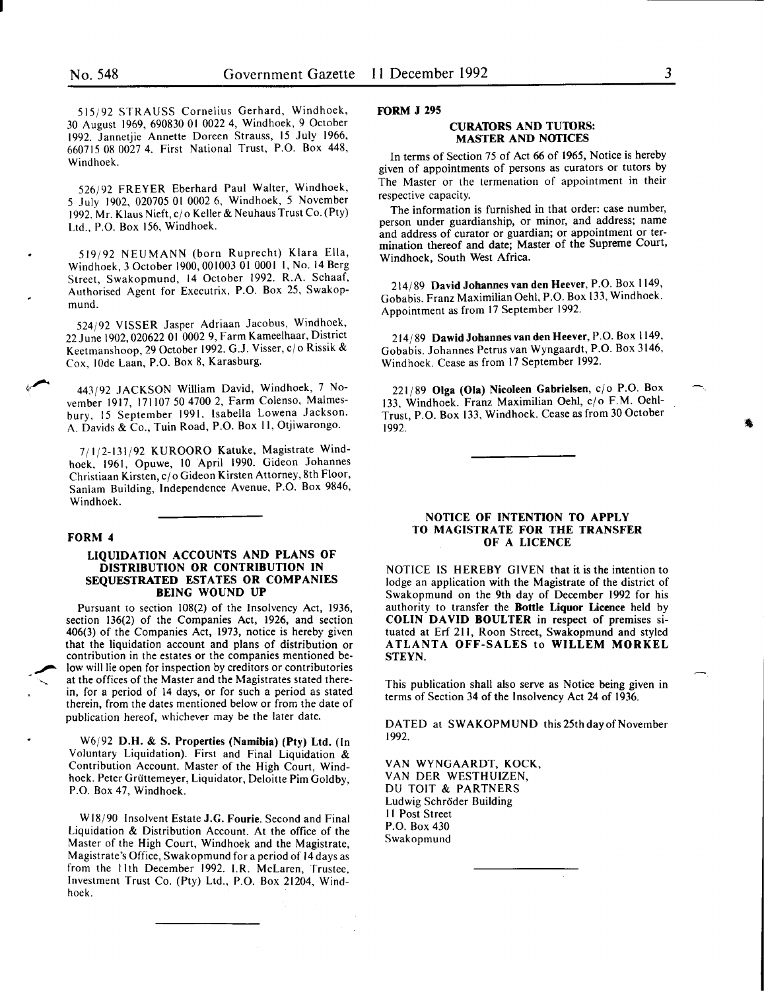515/92 STRAUSS Cornelius Gerhard, Windhoek, 30 August 1969, 690830 01 0022 4, Windhoek, 9 October 1992. Jannetjie Annette Doreen Strauss, 15 July 1966. 660715 08 0027 4. First National Trust, P.O. Box 448, Windhoek.

526/92 FREYER Eberhard Paul Walter, Windhoek, 5 July 1902, 020705 01 0002 6, Windhoek, 5 November 1992. Mr. Klaus Nieft, cj o Keller & Neuhaus Trust Co. (Pty) Ltd., P.O. Box 156, Windhoek.

519/92 NEUMANN (born Ruprecht) Klara Ella, Windhoek, 3 October 1900, 001003 01 0001 1, No. 14 Berg Street, Swakopmund, 14 October 1992. R.A. Schaaf, Authorised Agent for Executrix, P.O. Box 25, Swakopmund.

524/92 VISSER Jasper Adriaan Jacobus, Windhoek, 22 June 1902,020622 01 0002 9, Farm Kameelhaar, District Keetmanshoop, 29 October 1992. G.J. Visser, c/o Rissik & Cox, lOde Laan, P.O. Box 8, Karasburg.

443/92 JACKSON William David, Windhoek, 7 November 1917, 171107 50 4700 2, Farm Colenso, Malmesbury, 15 September 1991. Isabella Lowena Jackson. A. Davids & Co., Tuin Road, P.O. Box 11, Otjiwarongo.

7/1/2-131/92 KUROORO Katuke, Magistrate Windhoek, 1961, Opuwe, 10 April 1990. Gideon Johannes Christiaan Kirsten, c/o Gideon Kirsten Attorney, 8th Floor, Sanlam Building, Independence Avenue, P.O. Box 9846, Windhoek.

#### FORM 4

#### LIQUIDATION ACCOUNTS AND PLANS OF DISTRIBUTION OR CONTRIBUTION IN SEQUESTRATED ESTATES OR COMPANIES BEING WOUND UP

Pursuant to section 108(2) of the Insolvency Act, 1936, section 136(2) of the Companies Act, 1926, and section 406(3) of the Companies Act, 1973, notice is hereby given that the liquidation account and plans of distribution or contribution in the estates or the companies mentioned be low will lie open for inspection by creditors or contributories at the offices of the Master and the Magistrates stated therein, for a period of 14 days, or for such a period as stated therein, from the dates mentioned below or from the date of publication hereof, whichever may be the later date.

W6j92 D.H. & S. Properties (Namibia) (Pty) Ltd. (In Voluntary Liquidation). First and Final Liquidation & Contribution Account. Master of the High Court, Windhoek. Peter Grüttemeyer, Liquidator, Deloitte Pim Goldby, P.O. Box 47, Windhoek.

Wl8/90 Insolvent Estate J.G. Fourie. Second and Final Liquidation & Distribution Account. At the office of the Master of the High Court, Windhoek and the Magistrate, Magistrate's Office, Swakopmund for a period of 14 days as from the 11th December 1992. I.R. McLaren, Trustee, Investment Trust Co. (Pty) Ltd., P.O. Box 21204, Windhoek.

FORM J 295

#### CURATORS AND TUTORS: MASTER AND NOfiCES

In terms of Section 75 of Act 66 of 1965, Notice is hereby given of appointments of persons as curators or tutors by The Master or the termenation of appointment in their respective capacity.

The information is furnished in that order: case number, person under guardianship, or minor, and address; name and address of curator or guardian; or appointment or termination thereof and date; Master of the Supreme Court, Windhoek, South West Africa.

214/89 David Johannes van den Heever, P.O. Box 1149, Gobabis. Franz MaximilianOehl, P.O. Box 133, Wmdhoek. Appointment as from 17 September 1992.

214/89 Dawid Johannes van den Heever, P.O. Box 1149, Gobabis. Johannes Petrus van Wyngaardt, P.O. Box 3146, Windhoek. Cease as from 17 September 1992.

 $221/89$  Olga (Ola) Nicoleen Gabrielsen,  $c/o$  P.O. Box 133, Windhoek. Franz Maximilian Oehl, c/o F.M. Oehl-Trust, P.O. Box 133, Windhoek. Cease as from 30 October 1992.

#### NOTICE OF INTENTION TO APPLY TO MAGISTRATE FOR THE TRANSFER OF A LICENCE

NOTICE IS HEREBY GIVEN that it is the intention to lodge an application with the Magistrate of the district of Swakopmund on the 9th day of December 1992 for his authority to transfer the Bottle Liquor Licence held by COLIN DAVID BOULTER in respect of premises situated at Erf 211, Roon Street, Swakopmund and styled ATLANTA OFF-SALES to WILLEM MORKEL STEYN.

This publication shall also serve as Notice being given in terms of Section 34 of the Insolvency Act 24 of 1936.

DATED at SWAKOPMUND this 25th day of November 1992.

VAN WYNGAARDT, KOCK, VAN DER WESTHUIZEN, DU TOIT & PARTNERS Ludwig Schroder Building II Post Street P.O. Box 430 Swakopmund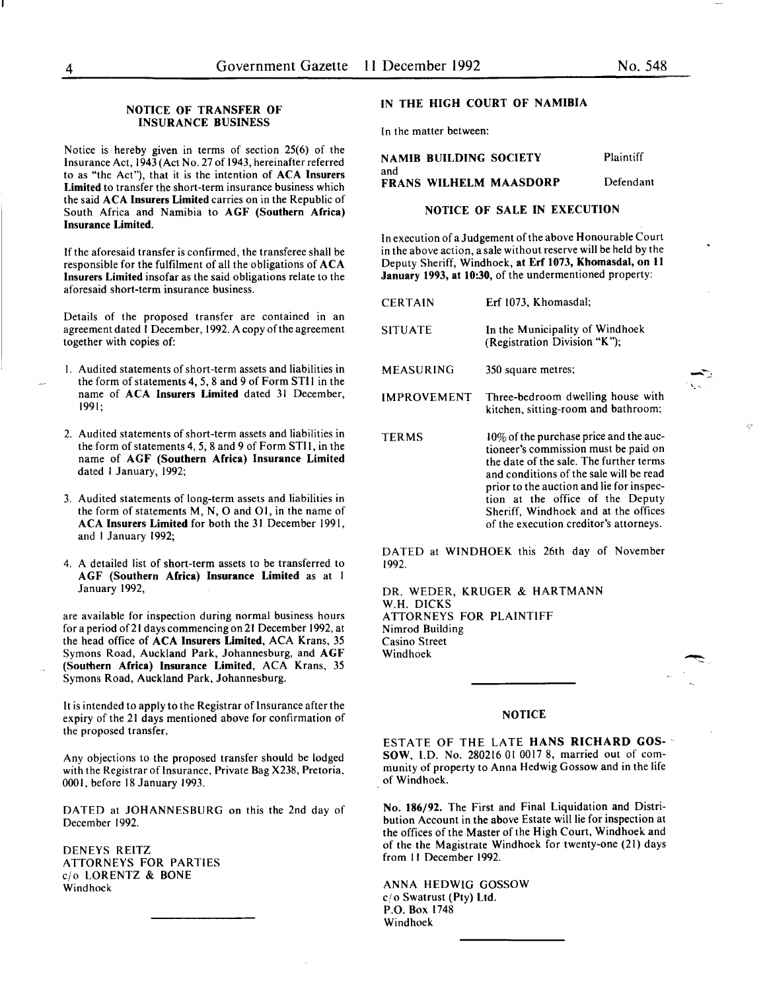#### NOTICE OF TRANSFER OF INSURANCE BUSINESS

Notice is hereby given in terms of section 25(6) of the Insurance Act, 1943 (Act No. 27 of 1943, hereinafter referred to as "the Act"), that it is the intention of ACA Insurers Limited to transfer the short-term insurance business which the said ACA Insurers Limited carries on in the Republic of South Africa and Namibia to AGF (Southern Africa) Insurance Limited.

If the aforesaid transfer is confirmed, the transferee shall be responsible for the fulfilment of all the obligations of ACA Insurers Limited insofar as the said obligations relate to the aforesaid short-term insurance business.

Details of the proposed transfer are contained in an agreement dated 1 December, 1992. A copy of the agreement together with copies of:

- I. Audited statements of short-term assets and liabilities in the form of statements 4, *5,* 8 and 9 of Form STI I in the name of ACA Insurers Limited dated 31 December, 1991;
- 2. Audited statements of short-term assets and liabilities in the form of statements 4, *5,* 8 and 9 of Form STI I, in the name of AGF (Southern Africa) Insurance Limited dated I January, 1992;
- 3. Audited statements of long-term assets and liabilities in the form of statements  $M$ ,  $N$ ,  $O$  and  $O1$ , in the name of ACA Insurers Limited for both the 31 December 1991, and I January 1992;
- 4. A detailed list of short-term assets to be transferred to AGF (Southern Africa) Insurance Limited as at I January 1992,

are available for inspection during normal business hours for a period of21 dayscommencingon21 December 1992, at the head office of ACA Insurers Limited, ACA Krans, *35*  Symons Road, Auckland Park, Johannesburg, and AGF (Southern Africa) Insurance Limited, ACA Krans, *35*  Symons Road, Auckland Park, Johannesburg.

It is intended to apply to the Registrar of Insurance after the expiry of the 21 days mentioned above for confirmation of the proposed transfer.

Any objections to the proposed transfer should be lodged with the Registrar of Insurance, Private Bag X238, Pretoria, 0001, before 18 January 1993.

DATED at JOHANNESBURG on this the 2nd day of December 1992.

DENEYS REITZ ATTORNEYS FOR PARTIES cjo LORENTZ & BONE Windhoek

#### IN THE HIGH COURT OF NAMIBIA

In the matter between:

|     | NAMIB BUILDING SOCIETY        | Plaintiff |
|-----|-------------------------------|-----------|
| and | <b>FRANS WILHELM MAASDORP</b> | Defendant |
|     |                               |           |

#### NOTICE OF SALE IN EXECUTION

In execution of a Judgement of the above Honourable Court in the above action, a sale without reserve will be held by the Deputy Sheriff, Windhoek, at Erf 1073, Khomasdal, on 11 January 1993, at 10:30, of the undermentioned property:

| <b>CERTAIN</b>     | Erf 1073, Khomasdal;                                                                                                                                                                                                |
|--------------------|---------------------------------------------------------------------------------------------------------------------------------------------------------------------------------------------------------------------|
| <b>SITUATE</b>     | In the Municipality of Windhoek<br>(Registration Division "K");                                                                                                                                                     |
| MEASURING          | 350 square metres;                                                                                                                                                                                                  |
| <b>IMPROVEMENT</b> | Three-bedroom dwelling house with<br>kitchen, sitting-room and bathroom;                                                                                                                                            |
| <b>TERMS</b>       | $10\%$ of the purchase price and the auc-<br>tioneer's commission must be paid on<br>the date of the sale. The further terms<br>and conditions of the sale will be read<br>prior to the auction and lie for inspec- |

tion at the office of the Deputy Sheriff, Windhoek and at the offices of the execution creditor's attorneys.

**-**

DATED at WINDHOEK this 26th day of November 1992.

DR. WEDER, KRUGER & HARTMANN W.H. DICKS ATTORNEYS FOR PLAINTIFF Nimrod Building Casino Street Windhoek

#### NOTICE

ESTATE OF THE LATE HANS RICHARD GOS-  $\gamma$ SOW, I.D. No. 280216 01 0017 8, married out of community of property to Anna Hedwig Gossow and in the life of Windhoek.

No. 186/92. The First and Final Liquidation and Distribution Account in the above Estate will lie for inspection at the offices of the Master of the High Court, Windhoek and of the the Magistrate Windhoek for twenty-one (21) days from II December 1992.

ANNA HEDWIG GOSSOW cjo Swatrust (Pty) Ltd. P.O. Box 1748 Windhoek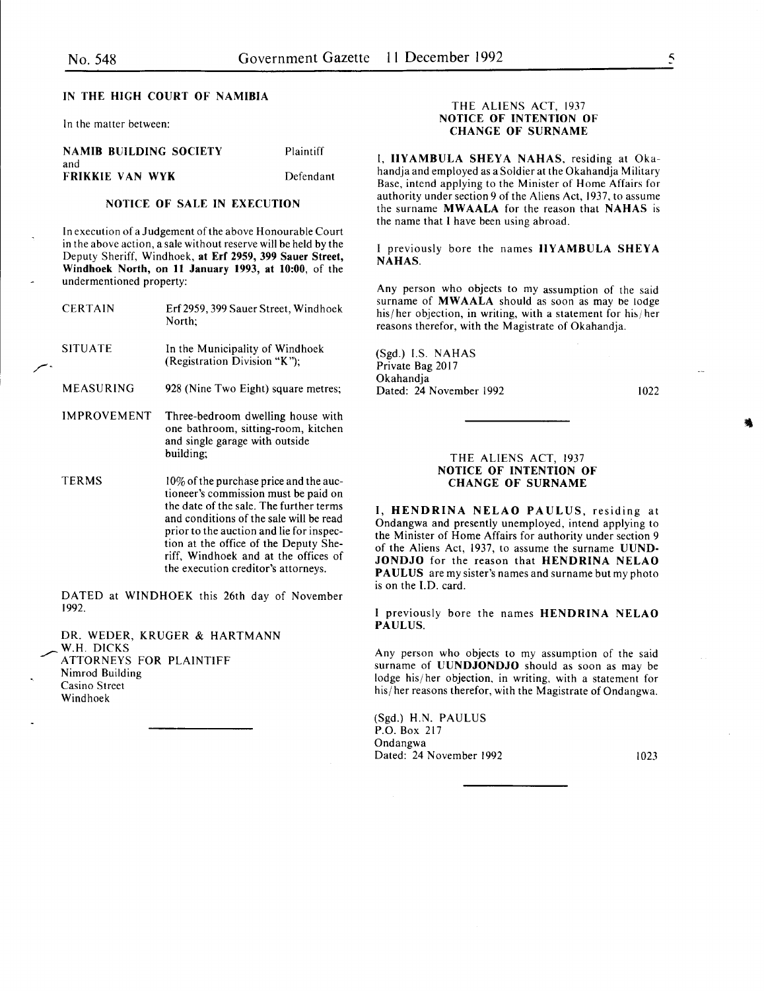#### IN THE HIGH COURT OF NAMIBIA

In the matter between:

#### NAMIB BUILDING SOCIETY and FRIKKIE VAN WYK

Plaintiff Defendant

#### NOTICE OF SALE IN EXECUTION

In execution of a Judgement of the above Honourable Court in the above action, a sale without reserve will be held by the Deputy Sheriff, Windhoek, at Erf 2959, 399 Sauer Street, Windhoek North, on 11 January 1993, at 10:00, of the undermentioned property:

| <b>CERTAIN</b>     | Erf 2959, 399 Sauer Street, Windhoek<br>North;                                                                                                                                                                                                                                                                                           |
|--------------------|------------------------------------------------------------------------------------------------------------------------------------------------------------------------------------------------------------------------------------------------------------------------------------------------------------------------------------------|
| <b>SITUATE</b>     | In the Municipality of Windhoek<br>(Registration Division "K");                                                                                                                                                                                                                                                                          |
| MEASURING          | 928 (Nine Two Eight) square metres;                                                                                                                                                                                                                                                                                                      |
| <b>IMPROVEMENT</b> | Three-bedroom dwelling house with<br>one bathroom, sitting-room, kitchen<br>and single garage with outside<br>building;                                                                                                                                                                                                                  |
| <b>TERMS</b>       | 10% of the purchase price and the auc-<br>tioneer's commission must be paid on<br>the date of the sale. The further terms<br>and conditions of the sale will be read<br>prior to the auction and lie for inspec-<br>tion at the office of the Deputy She-<br>riff, Windhoek and at the offices of<br>the execution creditor's attorneys. |

DATED at WINDHOEK this 26th day of November 1992.

DR. WEDER, KRUGER & HARTMANN W.H. DICKS ATTORNEYS FOR PLAINTIFF Nimrod Building Casino Street Windhoek

#### THE ALIENS ACT, 1937 NOTICE OF INTENTION OF CHANGE OF SURNAME

I. IIYAMBULA SHEYA NAHAS, residing at Okahandja and employed as a Soldier at the Okahandja Military Base, intend applying to the Minister of Home Affairs for authority under section 9 of the Aliens Act, 1937, to assume the surname MWAALA for the reason that NAHAS is the name that I have been using abroad.

I previously bore the names IIYAMBULA SHEYA NAHAS.

Any person who objects to my assumption of the said surname of **MWAALA** should as soon as may be lodge his/her objection, in writing, with a statement for his/her reasons therefor, with the Magistrate of Okahandja.

(Sgd.) I.S. NAHAS Private Bag 2017 Okahandja Dated: 24 November 1992

1022

#### THE ALIENS ACT, 1937 NOTICE OF INTENTION OF CHANGE OF SURNAME

I, HENDRINA NELAO PAULUS, residing at Ondangwa and presently unemployed, intend applying to the Minister of Home Affairs for authority under section 9 of the Aliens Act, 1937, to assume the surname UUND-JONDJO for the reason that HENDRINA NELAO PAULUS are my sister's names and surname but my photo is on the J.D. card.

I previously bore the names HENDRINA NELAO PAULUS.

Any person who objects to my assumption of the said surname of UUNDJONDJO should as soon as may be lodge his/ her objection, in writing, with a statement for his/ her reasons therefor, with the Magistrate of Ondangwa.

(Sgd.) H.N. PAULUS P.O. Box 217 Ondangwa Dated: 24 November 1992 1023